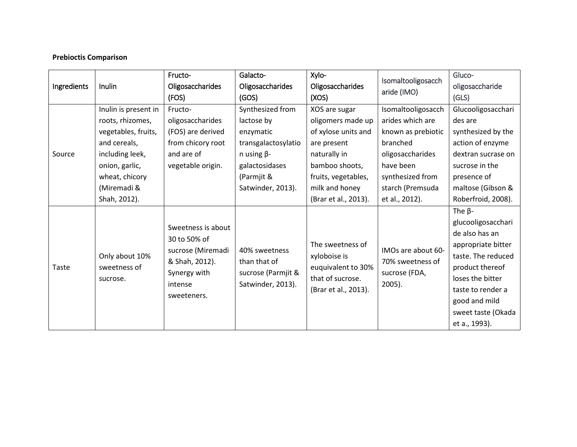## **Prebioctis Comparison**

| Ingredients | Inulin                                     | Fructo-                                                                                                             | Galacto-                                                                 | Xylo-                                                                                              | Isomaltooligosacch<br>aride (IMO)                                    | Gluco-             |
|-------------|--------------------------------------------|---------------------------------------------------------------------------------------------------------------------|--------------------------------------------------------------------------|----------------------------------------------------------------------------------------------------|----------------------------------------------------------------------|--------------------|
|             |                                            | Oligosaccharides                                                                                                    | <b>Oligosaccharides</b>                                                  | Oligosaccharides                                                                                   |                                                                      | oligosaccharide    |
|             |                                            | (FOS)                                                                                                               | (GOS)                                                                    | (XOS)                                                                                              |                                                                      | (GLS)              |
| Source      | Inulin is present in                       | Fructo-                                                                                                             | Synthesized from                                                         | XOS are sugar                                                                                      | Isomaltooligosacch                                                   | Glucooligosacchari |
|             | roots, rhizomes,                           | oligosaccharides                                                                                                    | lactose by                                                               | oligomers made up                                                                                  | arides which are                                                     | des are            |
|             | vegetables, fruits,                        | (FOS) are derived                                                                                                   | enzymatic                                                                | of xylose units and                                                                                | known as prebiotic                                                   | synthesized by the |
|             | and cereals,                               | from chicory root                                                                                                   | transgalactosylatio                                                      | are present                                                                                        | branched                                                             | action of enzyme   |
|             | including leek,                            | and are of                                                                                                          | $n$ using $\beta$ -                                                      | naturally in                                                                                       | oligosaccharides                                                     | dextran sucrase on |
|             | onion, garlic,                             | vegetable origin.                                                                                                   | galactosidases                                                           | bamboo shoots,                                                                                     | have been                                                            | sucrose in the     |
|             | wheat, chicory                             |                                                                                                                     | (Parmjit &                                                               | fruits, vegetables,                                                                                | synthesized from                                                     | presence of        |
|             | (Miremadi &                                |                                                                                                                     | Satwinder, 2013).                                                        | milk and honey                                                                                     | starch (Premsuda                                                     | maltose (Gibson &  |
|             | Shah, 2012).                               |                                                                                                                     |                                                                          | (Brar et al., 2013).                                                                               | et al., 2012).                                                       | Roberfroid, 2008). |
| Taste       | Only about 10%<br>sweetness of<br>sucrose. | Sweetness is about<br>30 to 50% of<br>sucrose (Miremadi<br>& Shah, 2012).<br>Synergy with<br>intense<br>sweeteners. | 40% sweetness<br>than that of<br>sucrose (Parmjit &<br>Satwinder, 2013). | The sweetness of<br>xyloboise is<br>euquivalent to 30%<br>that of sucrose.<br>(Brar et al., 2013). | IMOs are about 60-<br>70% sweetness of<br>sucrose (FDA,<br>$2005$ ). | The $\beta$ -      |
|             |                                            |                                                                                                                     |                                                                          |                                                                                                    |                                                                      | glucooligosacchari |
|             |                                            |                                                                                                                     |                                                                          |                                                                                                    |                                                                      | de also has an     |
|             |                                            |                                                                                                                     |                                                                          |                                                                                                    |                                                                      | appropriate bitter |
|             |                                            |                                                                                                                     |                                                                          |                                                                                                    |                                                                      | taste. The reduced |
|             |                                            |                                                                                                                     |                                                                          |                                                                                                    |                                                                      | product thereof    |
|             |                                            |                                                                                                                     |                                                                          |                                                                                                    |                                                                      | loses the bitter   |
|             |                                            |                                                                                                                     |                                                                          |                                                                                                    |                                                                      | taste to render a  |
|             |                                            |                                                                                                                     |                                                                          |                                                                                                    |                                                                      | good and mild      |
|             |                                            |                                                                                                                     |                                                                          |                                                                                                    |                                                                      | sweet taste (Okada |
|             |                                            |                                                                                                                     |                                                                          |                                                                                                    |                                                                      | et a., 1993).      |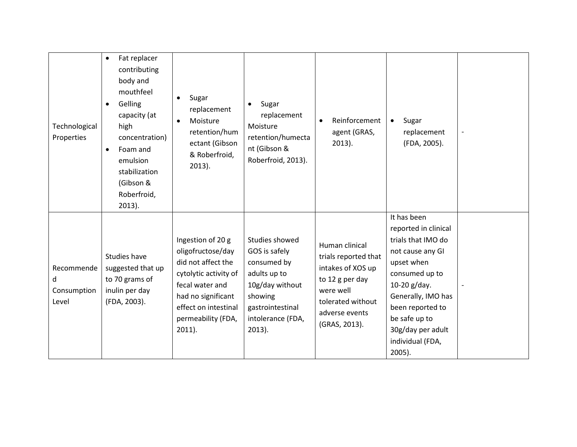| Technological<br>Properties             | Fat replacer<br>$\bullet$<br>contributing<br>body and<br>mouthfeel<br>Gelling<br>$\bullet$<br>capacity (at<br>high<br>concentration)<br>Foam and<br>$\bullet$<br>emulsion<br>stabilization<br>(Gibson &<br>Roberfroid,<br>$2013$ ). | Sugar<br>replacement<br>Moisture<br>$\bullet$<br>retention/hum<br>ectant (Gibson<br>& Roberfroid,<br>$2013$ ).                                                                            | Sugar<br>$\bullet$<br>replacement<br>Moisture<br>retention/humecta<br>nt (Gibson &<br>Roberfroid, 2013).                                           | Reinforcement<br>$\bullet$<br>agent (GRAS,<br>$2013$ ).                                                                                             | Sugar<br>$\bullet$<br>replacement<br>(FDA, 2005).                                                                                                                                                                                              |  |
|-----------------------------------------|-------------------------------------------------------------------------------------------------------------------------------------------------------------------------------------------------------------------------------------|-------------------------------------------------------------------------------------------------------------------------------------------------------------------------------------------|----------------------------------------------------------------------------------------------------------------------------------------------------|-----------------------------------------------------------------------------------------------------------------------------------------------------|------------------------------------------------------------------------------------------------------------------------------------------------------------------------------------------------------------------------------------------------|--|
| Recommende<br>d<br>Consumption<br>Level | Studies have<br>suggested that up<br>to 70 grams of<br>inulin per day<br>(FDA, 2003).                                                                                                                                               | Ingestion of 20 g<br>oligofructose/day<br>did not affect the<br>cytolytic activity of<br>fecal water and<br>had no significant<br>effect on intestinal<br>permeability (FDA,<br>$2011$ ). | Studies showed<br>GOS is safely<br>consumed by<br>adults up to<br>10g/day without<br>showing<br>gastrointestinal<br>intolerance (FDA,<br>$2013$ ). | Human clinical<br>trials reported that<br>intakes of XOS up<br>to 12 g per day<br>were well<br>tolerated without<br>adverse events<br>(GRAS, 2013). | It has been<br>reported in clinical<br>trials that IMO do<br>not cause any GI<br>upset when<br>consumed up to<br>10-20 g/day.<br>Generally, IMO has<br>been reported to<br>be safe up to<br>30g/day per adult<br>individual (FDA,<br>$2005$ ). |  |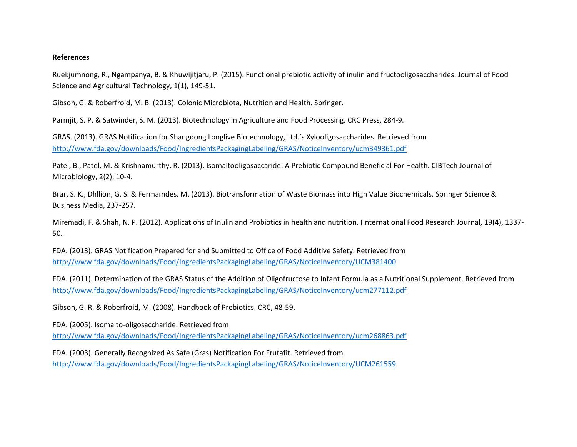## **References**

Ruekjumnong, R., Ngampanya, B. & Khuwijitjaru, P. (2015). Functional prebiotic activity of inulin and fructooligosaccharides. Journal of Food Science and Agricultural Technology, 1(1), 149-51.

Gibson, G. & Roberfroid, M. B. (2013). Colonic Microbiota, Nutrition and Health. Springer.

Parmjit, S. P. & Satwinder, S. M. (2013). Biotechnology in Agriculture and Food Processing. CRC Press, 284-9.

GRAS. (2013). GRAS Notification for Shangdong Longlive Biotechnology, Ltd.'s Xylooligosaccharides. Retrieved from <http://www.fda.gov/downloads/Food/IngredientsPackagingLabeling/GRAS/NoticeInventory/ucm349361.pdf>

Patel, B., Patel, M. & Krishnamurthy, R. (2013). Isomaltooligosaccaride: A Prebiotic Compound Beneficial For Health. CIBTech Journal of Microbiology, 2(2), 10-4.

Brar, S. K., Dhllion, G. S. & Fermamdes, M. (2013). Biotransformation of Waste Biomass into High Value Biochemicals. Springer Science & Business Media, 237-257.

Miremadi, F. & Shah, N. P. (2012). Applications of Inulin and Probiotics in health and nutrition. (International Food Research Journal, 19(4), 1337- 50.

FDA. (2013). GRAS Notification Prepared for and Submitted to Office of Food Additive Safety. Retrieved from <http://www.fda.gov/downloads/Food/IngredientsPackagingLabeling/GRAS/NoticeInventory/UCM381400>

FDA. (2011). Determination of the GRAS Status of the Addition of Oligofructose to Infant Formula as a Nutritional Supplement. Retrieved from <http://www.fda.gov/downloads/Food/IngredientsPackagingLabeling/GRAS/NoticeInventory/ucm277112.pdf>

Gibson, G. R. & Roberfroid, M. (2008). Handbook of Prebiotics. CRC, 48-59.

FDA. (2005). Isomalto-oligosaccharide. Retrieved from <http://www.fda.gov/downloads/Food/IngredientsPackagingLabeling/GRAS/NoticeInventory/ucm268863.pdf>

FDA. (2003). Generally Recognized As Safe (Gras) Notification For Frutafit. Retrieved from <http://www.fda.gov/downloads/Food/IngredientsPackagingLabeling/GRAS/NoticeInventory/UCM261559>